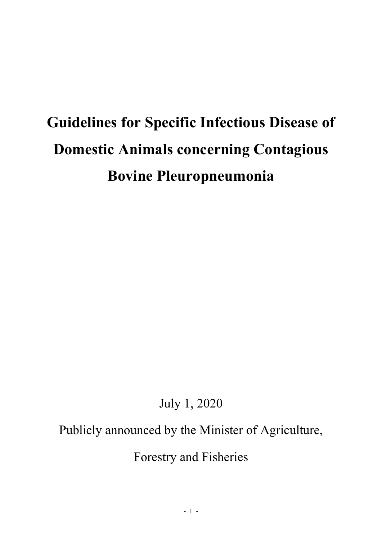# **Guidelines for Specific Infectious Disease of Domestic Animals concerning Contagious Bovine Pleuropneumonia**

July 1, 2020

# Publicly announced by the Minister of Agriculture,

Forestry and Fisheries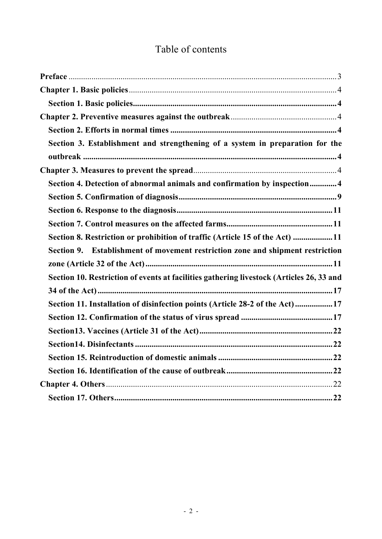# Table of contents

| Section 3. Establishment and strengthening of a system in preparation for the            |
|------------------------------------------------------------------------------------------|
|                                                                                          |
|                                                                                          |
| Section 4. Detection of abnormal animals and confirmation by inspection4                 |
|                                                                                          |
|                                                                                          |
|                                                                                          |
| Section 8. Restriction or prohibition of traffic (Article 15 of the Act) 11              |
| Section 9. Establishment of movement restriction zone and shipment restriction           |
|                                                                                          |
| Section 10. Restriction of events at facilities gathering livestock (Articles 26, 33 and |
|                                                                                          |
| Section 11. Installation of disinfection points (Article 28-2 of the Act)17              |
|                                                                                          |
|                                                                                          |
|                                                                                          |
|                                                                                          |
|                                                                                          |
|                                                                                          |
|                                                                                          |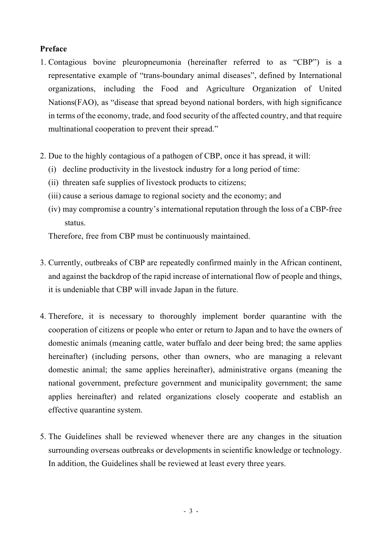# <span id="page-2-0"></span>**Preface**

- 1. Contagious bovine pleuropneumonia (hereinafter referred to as "CBP") is a representative example of "trans-boundary animal diseases", defined by International organizations, including the Food and Agriculture Organization of United Nations(FAO), as "disease that spread beyond national borders, with high significance in terms of the economy, trade, and food security of the affected country, and that require multinational cooperation to prevent their spread."
- 2. Due to the highly contagious of a pathogen of CBP, once it has spread, it will:
	- (i) decline productivity in the livestock industry for a long period of time:
	- (ii) threaten safe supplies of livestock products to citizens;
	- (iii) cause a serious damage to regional society and the economy; and
	- (iv) may compromise a country's international reputation through the loss of a CBP-free status.

Therefore, free from CBP must be continuously maintained.

- 3. Currently, outbreaks of CBP are repeatedly confirmed mainly in the African continent, and against the backdrop of the rapid increase of international flow of people and things, it is undeniable that CBP will invade Japan in the future.
- 4. Therefore, it is necessary to thoroughly implement border quarantine with the cooperation of citizens or people who enter or return to Japan and to have the owners of domestic animals (meaning cattle, water buffalo and deer being bred; the same applies hereinafter) (including persons, other than owners, who are managing a relevant domestic animal; the same applies hereinafter), administrative organs (meaning the national government, prefecture government and municipality government; the same applies hereinafter) and related organizations closely cooperate and establish an effective quarantine system.
- 5. The Guidelines shall be reviewed whenever there are any changes in the situation surrounding overseas outbreaks or developments in scientific knowledge or technology. In addition, the Guidelines shall be reviewed at least every three years.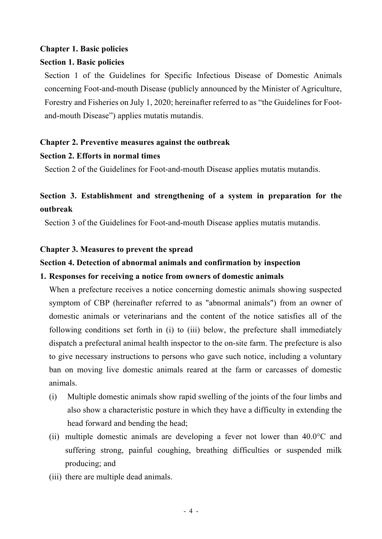# <span id="page-3-0"></span>**Chapter 1. Basic policies**

# <span id="page-3-1"></span>**Section 1. Basic policies**

Section 1 of the Guidelines for Specific Infectious Disease of Domestic Animals concerning Foot-and-mouth Disease (publicly announced by the Minister of Agriculture, Forestry and Fisheries on July 1, 2020; hereinafter referred to as "the Guidelines for Footand-mouth Disease") applies mutatis mutandis.

# <span id="page-3-2"></span>**Chapter 2. Preventive measures against the outbreak**

# <span id="page-3-3"></span>**Section 2. Efforts in normal times**

Section 2 of the Guidelines for Foot-and-mouth Disease applies mutatis mutandis.

# <span id="page-3-4"></span>**Section 3. Establishment and strengthening of a system in preparation for the outbreak**

Section 3 of the Guidelines for Foot-and-mouth Disease applies mutatis mutandis.

# <span id="page-3-5"></span>**Chapter 3. Measures to prevent the spread**

# <span id="page-3-6"></span>**Section 4. Detection of abnormal animals and confirmation by inspection**

# **1. Responses for receiving a notice from owners of domestic animals**

When a prefecture receives a notice concerning domestic animals showing suspected symptom of CBP (hereinafter referred to as "abnormal animals") from an owner of domestic animals or veterinarians and the content of the notice satisfies all of the following conditions set forth in (i) to (iii) below, the prefecture shall immediately dispatch a prefectural animal health inspector to the on-site farm. The prefecture is also to give necessary instructions to persons who gave such notice, including a voluntary ban on moving live domestic animals reared at the farm or carcasses of domestic animals.

- (i) Multiple domestic animals show rapid swelling of the joints of the four limbs and also show a characteristic posture in which they have a difficulty in extending the head forward and bending the head;
- (ii) multiple domestic animals are developing a fever not lower than 40.0°C and suffering strong, painful coughing, breathing difficulties or suspended milk producing; and
- (iii) there are multiple dead animals.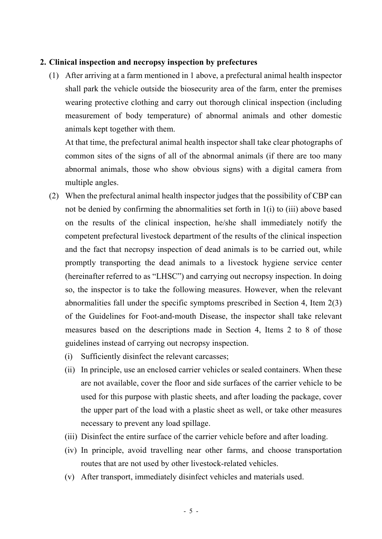# **2. Clinical inspection and necropsy inspection by prefectures**

(1) After arriving at a farm mentioned in 1 above, a prefectural animal health inspector shall park the vehicle outside the biosecurity area of the farm, enter the premises wearing protective clothing and carry out thorough clinical inspection (including measurement of body temperature) of abnormal animals and other domestic animals kept together with them.

At that time, the prefectural animal health inspector shall take clear photographs of common sites of the signs of all of the abnormal animals (if there are too many abnormal animals, those who show obvious signs) with a digital camera from multiple angles.

- (2) When the prefectural animal health inspector judges that the possibility of CBP can not be denied by confirming the abnormalities set forth in 1(i) to (iii) above based on the results of the clinical inspection, he/she shall immediately notify the competent prefectural livestock department of the results of the clinical inspection and the fact that necropsy inspection of dead animals is to be carried out, while promptly transporting the dead animals to a livestock hygiene service center (hereinafter referred to as "LHSC") and carrying out necropsy inspection. In doing so, the inspector is to take the following measures. However, when the relevant abnormalities fall under the specific symptoms prescribed in Section 4, Item 2(3) of the Guidelines for Foot-and-mouth Disease, the inspector shall take relevant measures based on the descriptions made in Section 4, Items 2 to 8 of those guidelines instead of carrying out necropsy inspection.
	- (i) Sufficiently disinfect the relevant carcasses;
	- (ii) In principle, use an enclosed carrier vehicles or sealed containers. When these are not available, cover the floor and side surfaces of the carrier vehicle to be used for this purpose with plastic sheets, and after loading the package, cover the upper part of the load with a plastic sheet as well, or take other measures necessary to prevent any load spillage.
	- (iii) Disinfect the entire surface of the carrier vehicle before and after loading.
	- (iv) In principle, avoid travelling near other farms, and choose transportation routes that are not used by other livestock-related vehicles.
	- (v) After transport, immediately disinfect vehicles and materials used.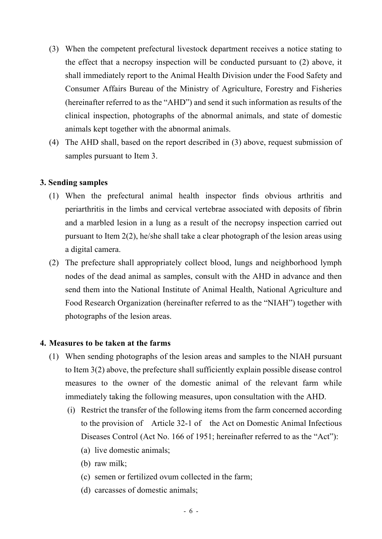- (3) When the competent prefectural livestock department receives a notice stating to the effect that a necropsy inspection will be conducted pursuant to (2) above, it shall immediately report to the Animal Health Division under the Food Safety and Consumer Affairs Bureau of the Ministry of Agriculture, Forestry and Fisheries (hereinafter referred to as the "AHD") and send it such information as results of the clinical inspection, photographs of the abnormal animals, and state of domestic animals kept together with the abnormal animals.
- (4) The AHD shall, based on the report described in (3) above, request submission of samples pursuant to Item 3.

# **3. Sending samples**

- (1) When the prefectural animal health inspector finds obvious arthritis and periarthritis in the limbs and cervical vertebrae associated with deposits of fibrin and a marbled lesion in a lung as a result of the necropsy inspection carried out pursuant to Item 2(2), he/she shall take a clear photograph of the lesion areas using a digital camera.
- (2) The prefecture shall appropriately collect blood, lungs and neighborhood lymph nodes of the dead animal as samples, consult with the AHD in advance and then send them into the National Institute of Animal Health, National Agriculture and Food Research Organization (hereinafter referred to as the "NIAH") together with photographs of the lesion areas.

## **4. Measures to be taken at the farms**

- (1) When sending photographs of the lesion areas and samples to the NIAH pursuant to Item 3(2) above, the prefecture shall sufficiently explain possible disease control measures to the owner of the domestic animal of the relevant farm while immediately taking the following measures, upon consultation with the AHD.
	- (i) Restrict the transfer of the following items from the farm concerned according to the provision of Article 32-1 of the Act on Domestic Animal Infectious Diseases Control (Act No. 166 of 1951; hereinafter referred to as the "Act"):
		- (a) live domestic animals;
		- (b) raw milk;
		- (c) semen or fertilized ovum collected in the farm;
		- (d) carcasses of domestic animals;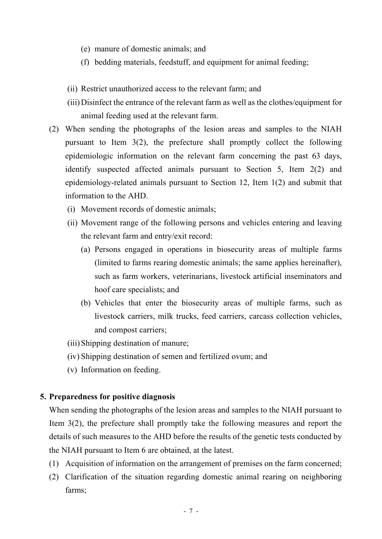- (e) manure of domestic animals; and
- (f) bedding materials, feedstuff, and equipment for animal feeding;
- (ii) Restrict unauthorized access to the relevant farm; and
- (iii)Disinfect the entrance of the relevant farm as well as the clothes/equipment for animal feeding used at the relevant farm.
- (2) When sending the photographs of the lesion areas and samples to the NIAH pursuant to Item 3(2), the prefecture shall promptly collect the following epidemiologic information on the relevant farm concerning the past 63 days, identify suspected affected animals pursuant to Section 5, Item 2(2) and epidemiology-related animals pursuant to Section 12, Item 1(2) and submit that information to the AHD.
	- (i) Movement records of domestic animals;
	- (ii) Movement range of the following persons and vehicles entering and leaving the relevant farm and entry/exit record:
		- (a) Persons engaged in operations in biosecurity areas of multiple farms (limited to farms rearing domestic animals; the same applies hereinafter), such as farm workers, veterinarians, livestock artificial inseminators and hoof care specialists; and
		- (b) Vehicles that enter the biosecurity areas of multiple farms, such as livestock carriers, milk trucks, feed carriers, carcass collection vehicles, and compost carriers;
	- (iii)Shipping destination of manure;
	- (iv) Shipping destination of semen and fertilized ovum; and
	- (v) Information on feeding.

## **5. Preparedness for positive diagnosis**

When sending the photographs of the lesion areas and samples to the NIAH pursuant to Item 3(2), the prefecture shall promptly take the following measures and report the details of such measures to the AHD before the results of the genetic tests conducted by the NIAH pursuant to Item 6 are obtained, at the latest.

- (1) Acquisition of information on the arrangement of premises on the farm concerned;
- (2) Clarification of the situation regarding domestic animal rearing on neighboring farms;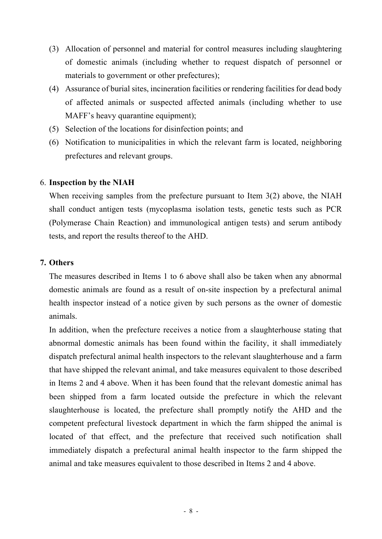- (3) Allocation of personnel and material for control measures including slaughtering of domestic animals (including whether to request dispatch of personnel or materials to government or other prefectures);
- (4) Assurance of burial sites, incineration facilities or rendering facilities for dead body of affected animals or suspected affected animals (including whether to use MAFF's heavy quarantine equipment);
- (5) Selection of the locations for disinfection points; and
- (6) Notification to municipalities in which the relevant farm is located, neighboring prefectures and relevant groups.

# 6. **Inspection by the NIAH**

When receiving samples from the prefecture pursuant to Item 3(2) above, the NIAH shall conduct antigen tests (mycoplasma isolation tests, genetic tests such as PCR (Polymerase Chain Reaction) and immunological antigen tests) and serum antibody tests, and report the results thereof to the AHD.

# **7. Others**

The measures described in Items 1 to 6 above shall also be taken when any abnormal domestic animals are found as a result of on-site inspection by a prefectural animal health inspector instead of a notice given by such persons as the owner of domestic animals.

In addition, when the prefecture receives a notice from a slaughterhouse stating that abnormal domestic animals has been found within the facility, it shall immediately dispatch prefectural animal health inspectors to the relevant slaughterhouse and a farm that have shipped the relevant animal, and take measures equivalent to those described in Items 2 and 4 above. When it has been found that the relevant domestic animal has been shipped from a farm located outside the prefecture in which the relevant slaughterhouse is located, the prefecture shall promptly notify the AHD and the competent prefectural livestock department in which the farm shipped the animal is located of that effect, and the prefecture that received such notification shall immediately dispatch a prefectural animal health inspector to the farm shipped the animal and take measures equivalent to those described in Items 2 and 4 above.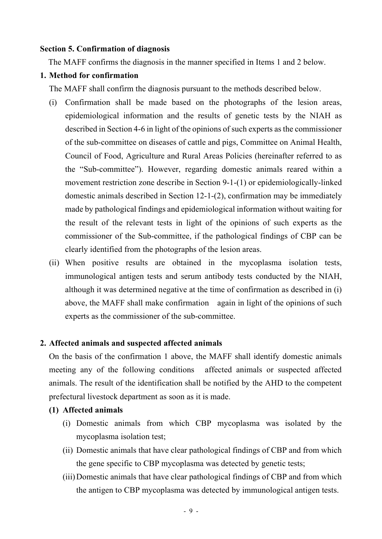#### <span id="page-8-0"></span>**Section 5. Confirmation of diagnosis**

The MAFF confirms the diagnosis in the manner specified in Items 1 and 2 below.

#### **1. Method for confirmation**

The MAFF shall confirm the diagnosis pursuant to the methods described below.

- (i) Confirmation shall be made based on the photographs of the lesion areas, epidemiological information and the results of genetic tests by the NIAH as described in Section 4-6 in light of the opinions of such experts as the commissioner of the sub-committee on diseases of cattle and pigs, Committee on Animal Health, Council of Food, Agriculture and Rural Areas Policies (hereinafter referred to as the "Sub-committee"). However, regarding domestic animals reared within a movement restriction zone describe in Section 9-1-(1) or epidemiologically-linked domestic animals described in Section 12-1-(2), confirmation may be immediately made by pathological findings and epidemiological information without waiting for the result of the relevant tests in light of the opinions of such experts as the commissioner of the Sub-committee, if the pathological findings of CBP can be clearly identified from the photographs of the lesion areas.
- (ii) When positive results are obtained in the mycoplasma isolation tests, immunological antigen tests and serum antibody tests conducted by the NIAH, although it was determined negative at the time of confirmation as described in (i) above, the MAFF shall make confirmation again in light of the opinions of such experts as the commissioner of the sub-committee.

## **2. Affected animals and suspected affected animals**

On the basis of the confirmation 1 above, the MAFF shall identify domestic animals meeting any of the following conditions affected animals or suspected affected animals. The result of the identification shall be notified by the AHD to the competent prefectural livestock department as soon as it is made.

- **(1) Affected animals**
	- (i) Domestic animals from which CBP mycoplasma was isolated by the mycoplasma isolation test;
	- (ii) Domestic animals that have clear pathological findings of CBP and from which the gene specific to CBP mycoplasma was detected by genetic tests;
	- (iii)Domestic animals that have clear pathological findings of CBP and from which the antigen to CBP mycoplasma was detected by immunological antigen tests.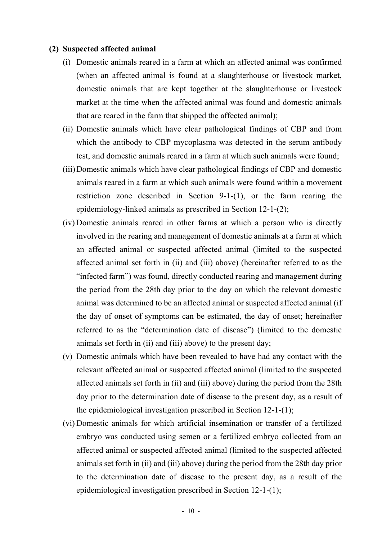#### **(2) Suspected affected animal**

- (i) Domestic animals reared in a farm at which an affected animal was confirmed (when an affected animal is found at a slaughterhouse or livestock market, domestic animals that are kept together at the slaughterhouse or livestock market at the time when the affected animal was found and domestic animals that are reared in the farm that shipped the affected animal);
- (ii) Domestic animals which have clear pathological findings of CBP and from which the antibody to CBP mycoplasma was detected in the serum antibody test, and domestic animals reared in a farm at which such animals were found;
- (iii)Domestic animals which have clear pathological findings of CBP and domestic animals reared in a farm at which such animals were found within a movement restriction zone described in Section 9-1-(1), or the farm rearing the epidemiology-linked animals as prescribed in Section 12-1-(2);
- (iv) Domestic animals reared in other farms at which a person who is directly involved in the rearing and management of domestic animals at a farm at which an affected animal or suspected affected animal (limited to the suspected affected animal set forth in (ii) and (iii) above) (hereinafter referred to as the "infected farm") was found, directly conducted rearing and management during the period from the 28th day prior to the day on which the relevant domestic animal was determined to be an affected animal or suspected affected animal (if the day of onset of symptoms can be estimated, the day of onset; hereinafter referred to as the "determination date of disease") (limited to the domestic animals set forth in (ii) and (iii) above) to the present day;
- (v) Domestic animals which have been revealed to have had any contact with the relevant affected animal or suspected affected animal (limited to the suspected affected animals set forth in (ii) and (iii) above) during the period from the 28th day prior to the determination date of disease to the present day, as a result of the epidemiological investigation prescribed in Section 12-1-(1);
- (vi) Domestic animals for which artificial insemination or transfer of a fertilized embryo was conducted using semen or a fertilized embryo collected from an affected animal or suspected affected animal (limited to the suspected affected animals set forth in (ii) and (iii) above) during the period from the 28th day prior to the determination date of disease to the present day, as a result of the epidemiological investigation prescribed in Section 12-1-(1);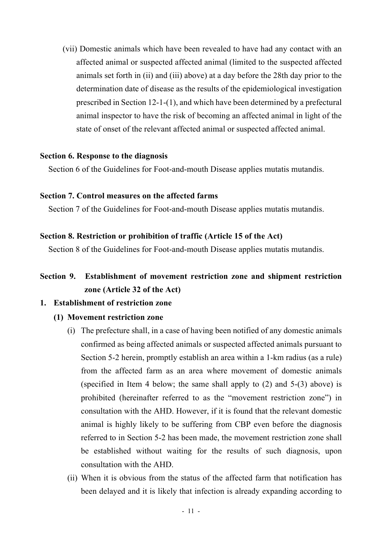(vii) Domestic animals which have been revealed to have had any contact with an affected animal or suspected affected animal (limited to the suspected affected animals set forth in (ii) and (iii) above) at a day before the 28th day prior to the determination date of disease as the results of the epidemiological investigation prescribed in Section 12-1-(1), and which have been determined by a prefectural animal inspector to have the risk of becoming an affected animal in light of the state of onset of the relevant affected animal or suspected affected animal.

#### <span id="page-10-0"></span>**Section 6. Response to the diagnosis**

Section 6 of the Guidelines for Foot-and-mouth Disease applies mutatis mutandis.

#### <span id="page-10-1"></span>**Section 7. Control measures on the affected farms**

Section 7 of the Guidelines for Foot-and-mouth Disease applies mutatis mutandis.

#### <span id="page-10-2"></span>**Section 8. Restriction or prohibition of traffic (Article 15 of the Act)**

Section 8 of the Guidelines for Foot-and-mouth Disease applies mutatis mutandis.

# <span id="page-10-3"></span>**Section 9. Establishment of movement restriction zone and shipment restriction zone (Article 32 of the Act)**

# **1. Establishment of restriction zone**

## **(1) Movement restriction zone**

- (i) The prefecture shall, in a case of having been notified of any domestic animals confirmed as being affected animals or suspected affected animals pursuant to Section 5-2 herein, promptly establish an area within a 1-km radius (as a rule) from the affected farm as an area where movement of domestic animals (specified in Item 4 below; the same shall apply to (2) and 5-(3) above) is prohibited (hereinafter referred to as the "movement restriction zone") in consultation with the AHD. However, if it is found that the relevant domestic animal is highly likely to be suffering from CBP even before the diagnosis referred to in Section 5-2 has been made, the movement restriction zone shall be established without waiting for the results of such diagnosis, upon consultation with the AHD.
- (ii) When it is obvious from the status of the affected farm that notification has been delayed and it is likely that infection is already expanding according to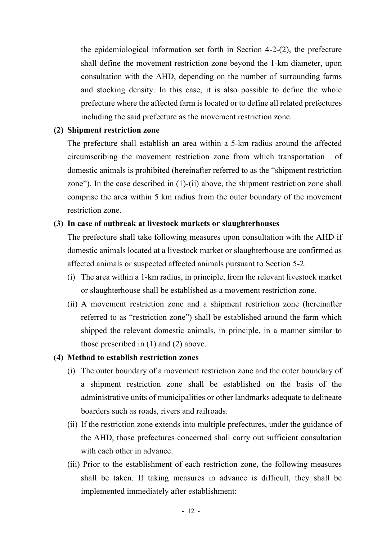the epidemiological information set forth in Section 4-2-(2), the prefecture shall define the movement restriction zone beyond the 1-km diameter, upon consultation with the AHD, depending on the number of surrounding farms and stocking density. In this case, it is also possible to define the whole prefecture where the affected farm is located or to define all related prefectures including the said prefecture as the movement restriction zone.

# **(2) Shipment restriction zone**

The prefecture shall establish an area within a 5-km radius around the affected circumscribing the movement restriction zone from which transportation of domestic animals is prohibited (hereinafter referred to as the "shipment restriction zone"). In the case described in (1)-(ii) above, the shipment restriction zone shall comprise the area within 5 km radius from the outer boundary of the movement restriction zone.

# **(3) In case of outbreak at livestock markets or slaughterhouses**

The prefecture shall take following measures upon consultation with the AHD if domestic animals located at a livestock market or slaughterhouse are confirmed as affected animals or suspected affected animals pursuant to Section 5-2.

- (i) The area within a 1-km radius, in principle, from the relevant livestock market or slaughterhouse shall be established as a movement restriction zone.
- (ii) A movement restriction zone and a shipment restriction zone (hereinafter referred to as "restriction zone") shall be established around the farm which shipped the relevant domestic animals, in principle, in a manner similar to those prescribed in (1) and (2) above.

# **(4) Method to establish restriction zones**

- (i) The outer boundary of a movement restriction zone and the outer boundary of a shipment restriction zone shall be established on the basis of the administrative units of municipalities or other landmarks adequate to delineate boarders such as roads, rivers and railroads.
- (ii) If the restriction zone extends into multiple prefectures, under the guidance of the AHD, those prefectures concerned shall carry out sufficient consultation with each other in advance.
- (iii) Prior to the establishment of each restriction zone, the following measures shall be taken. If taking measures in advance is difficult, they shall be implemented immediately after establishment: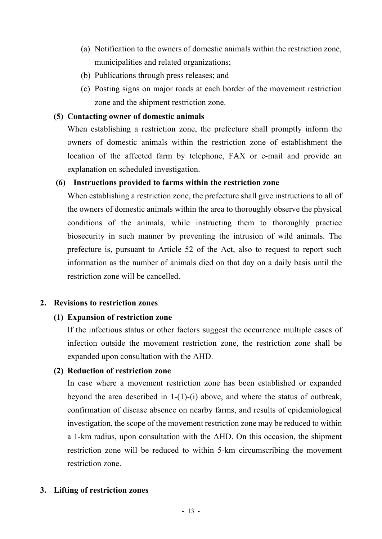- (a) Notification to the owners of domestic animals within the restriction zone, municipalities and related organizations;
- (b) Publications through press releases; and
- (c) Posting signs on major roads at each border of the movement restriction zone and the shipment restriction zone.

# **(5) Contacting owner of domestic animals**

When establishing a restriction zone, the prefecture shall promptly inform the owners of domestic animals within the restriction zone of establishment the location of the affected farm by telephone, FAX or e-mail and provide an explanation on scheduled investigation.

# **(6) Instructions provided to farms within the restriction zone**

When establishing a restriction zone, the prefecture shall give instructions to all of the owners of domestic animals within the area to thoroughly observe the physical conditions of the animals, while instructing them to thoroughly practice biosecurity in such manner by preventing the intrusion of wild animals. The prefecture is, pursuant to Article 52 of the Act, also to request to report such information as the number of animals died on that day on a daily basis until the restriction zone will be cancelled.

## **2. Revisions to restriction zones**

# **(1) Expansion of restriction zone**

If the infectious status or other factors suggest the occurrence multiple cases of infection outside the movement restriction zone, the restriction zone shall be expanded upon consultation with the AHD.

## **(2) Reduction of restriction zone**

In case where a movement restriction zone has been established or expanded beyond the area described in 1-(1)-(i) above, and where the status of outbreak, confirmation of disease absence on nearby farms, and results of epidemiological investigation, the scope of the movement restriction zone may be reduced to within a 1-km radius, upon consultation with the AHD. On this occasion, the shipment restriction zone will be reduced to within 5-km circumscribing the movement restriction zone.

## **3. Lifting of restriction zones**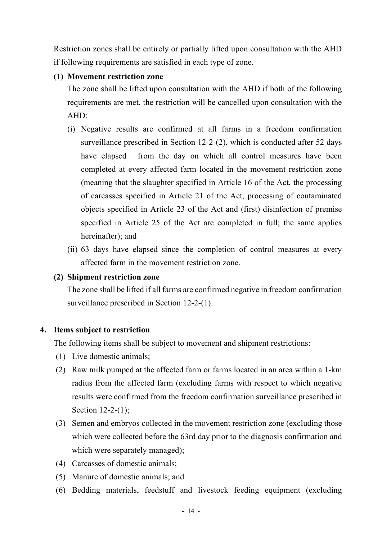Restriction zones shall be entirely or partially lifted upon consultation with the AHD if following requirements are satisfied in each type of zone.

# **(1) Movement restriction zone**

The zone shall be lifted upon consultation with the AHD if both of the following requirements are met, the restriction will be cancelled upon consultation with the AHD:

- (i) Negative results are confirmed at all farms in a freedom confirmation surveillance prescribed in Section 12-2-(2), which is conducted after 52 days have elapsed from the day on which all control measures have been completed at every affected farm located in the movement restriction zone (meaning that the slaughter specified in Article 16 of the Act, the processing of carcasses specified in Article 21 of the Act, processing of contaminated objects specified in Article 23 of the Act and (first) disinfection of premise specified in Article 25 of the Act are completed in full; the same applies hereinafter); and
- (ii) 63 days have elapsed since the completion of control measures at every affected farm in the movement restriction zone.

# **(2) Shipment restriction zone**

The zone shall be lifted if all farms are confirmed negative in freedom confirmation surveillance prescribed in Section 12-2-(1).

# **4. Items subject to restriction**

The following items shall be subject to movement and shipment restrictions:

- (1) Live domestic animals;
- (2) Raw milk pumped at the affected farm or farms located in an area within a 1-km radius from the affected farm (excluding farms with respect to which negative results were confirmed from the freedom confirmation surveillance prescribed in Section 12-2-(1);
- (3) Semen and embryos collected in the movement restriction zone (excluding those which were collected before the 63rd day prior to the diagnosis confirmation and which were separately managed);
- (4) Carcasses of domestic animals;
- (5) Manure of domestic animals; and
- (6) Bedding materials, feedstuff and livestock feeding equipment (excluding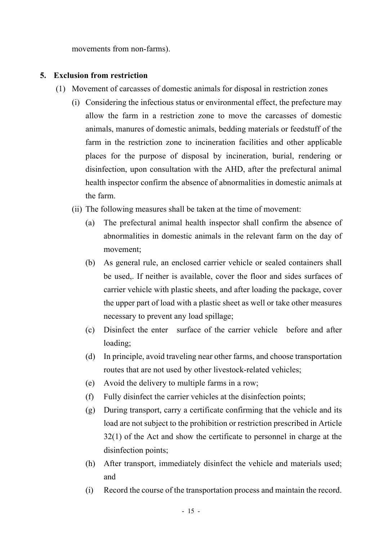movements from non-farms).

## **5. Exclusion from restriction**

- (1) Movement of carcasses of domestic animals for disposal in restriction zones
	- (i) Considering the infectious status or environmental effect, the prefecture may allow the farm in a restriction zone to move the carcasses of domestic animals, manures of domestic animals, bedding materials or feedstuff of the farm in the restriction zone to incineration facilities and other applicable places for the purpose of disposal by incineration, burial, rendering or disinfection, upon consultation with the AHD, after the prefectural animal health inspector confirm the absence of abnormalities in domestic animals at the farm.
	- (ii) The following measures shall be taken at the time of movement:
		- (a) The prefectural animal health inspector shall confirm the absence of abnormalities in domestic animals in the relevant farm on the day of movement;
		- (b) As general rule, an enclosed carrier vehicle or sealed containers shall be used,. If neither is available, cover the floor and sides surfaces of carrier vehicle with plastic sheets, and after loading the package, cover the upper part of load with a plastic sheet as well or take other measures necessary to prevent any load spillage;
		- (c) Disinfect the enter surface of the carrier vehicle before and after loading;
		- (d) In principle, avoid traveling near other farms, and choose transportation routes that are not used by other livestock-related vehicles;
		- (e) Avoid the delivery to multiple farms in a row;
		- (f) Fully disinfect the carrier vehicles at the disinfection points;
		- (g) During transport, carry a certificate confirming that the vehicle and its load are not subject to the prohibition or restriction prescribed in Article 32(1) of the Act and show the certificate to personnel in charge at the disinfection points;
		- (h) After transport, immediately disinfect the vehicle and materials used; and
		- (i) Record the course of the transportation process and maintain the record.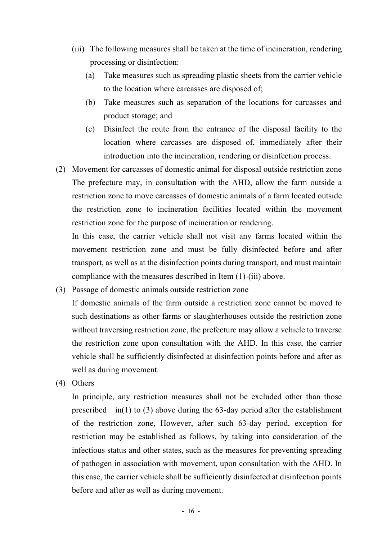- (iii) The following measures shall be taken at the time of incineration, rendering processing or disinfection:
	- (a) Take measures such as spreading plastic sheets from the carrier vehicle to the location where carcasses are disposed of;
	- (b) Take measures such as separation of the locations for carcasses and product storage; and
	- (c) Disinfect the route from the entrance of the disposal facility to the location where carcasses are disposed of, immediately after their introduction into the incineration, rendering or disinfection process.
- (2) Movement for carcasses of domestic animal for disposal outside restriction zone The prefecture may, in consultation with the AHD, allow the farm outside a restriction zone to move carcasses of domestic animals of a farm located outside the restriction zone to incineration facilities located within the movement restriction zone for the purpose of incineration or rendering.

In this case, the carrier vehicle shall not visit any farms located within the movement restriction zone and must be fully disinfected before and after transport, as well as at the disinfection points during transport, and must maintain compliance with the measures described in Item (1)-(iii) above.

- (3) Passage of domestic animals outside restriction zone If domestic animals of the farm outside a restriction zone cannot be moved to such destinations as other farms or slaughterhouses outside the restriction zone without traversing restriction zone, the prefecture may allow a vehicle to traverse the restriction zone upon consultation with the AHD. In this case, the carrier vehicle shall be sufficiently disinfected at disinfection points before and after as well as during movement.
- (4) Others

In principle, any restriction measures shall not be excluded other than those prescribed in(1) to (3) above during the 63-day period after the establishment of the restriction zone, However, after such 63-day period, exception for restriction may be established as follows, by taking into consideration of the infectious status and other states, such as the measures for preventing spreading of pathogen in association with movement, upon consultation with the AHD. In this case, the carrier vehicle shall be sufficiently disinfected at disinfection points before and after as well as during movement.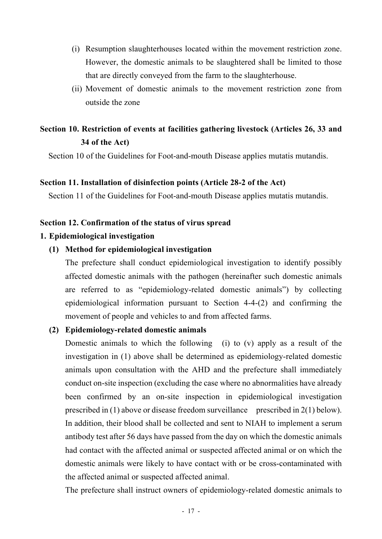- (i) Resumption slaughterhouses located within the movement restriction zone. However, the domestic animals to be slaughtered shall be limited to those that are directly conveyed from the farm to the slaughterhouse.
- (ii) Movement of domestic animals to the movement restriction zone from outside the zone

# <span id="page-16-0"></span>**Section 10. Restriction of events at facilities gathering livestock (Articles 26, 33 and 34 of the Act)**

Section 10 of the Guidelines for Foot-and-mouth Disease applies mutatis mutandis.

## <span id="page-16-1"></span>**Section 11. Installation of disinfection points (Article 28-2 of the Act)**

Section 11 of the Guidelines for Foot-and-mouth Disease applies mutatis mutandis.

# <span id="page-16-2"></span>**Section 12. Confirmation of the status of virus spread**

# **1. Epidemiological investigation**

# **(1) Method for epidemiological investigation**

The prefecture shall conduct epidemiological investigation to identify possibly affected domestic animals with the pathogen (hereinafter such domestic animals are referred to as "epidemiology-related domestic animals") by collecting epidemiological information pursuant to Section 4-4-(2) and confirming the movement of people and vehicles to and from affected farms.

# **(2) Epidemiology-related domestic animals**

Domestic animals to which the following (i) to (v) apply as a result of the investigation in (1) above shall be determined as epidemiology-related domestic animals upon consultation with the AHD and the prefecture shall immediately conduct on-site inspection (excluding the case where no abnormalities have already been confirmed by an on-site inspection in epidemiological investigation prescribed in (1) above or disease freedom surveillance prescribed in  $2(1)$  below). In addition, their blood shall be collected and sent to NIAH to implement a serum antibody test after 56 days have passed from the day on which the domestic animals had contact with the affected animal or suspected affected animal or on which the domestic animals were likely to have contact with or be cross-contaminated with the affected animal or suspected affected animal.

The prefecture shall instruct owners of epidemiology-related domestic animals to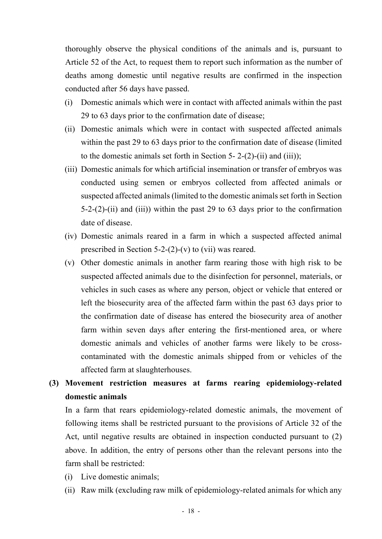thoroughly observe the physical conditions of the animals and is, pursuant to Article 52 of the Act, to request them to report such information as the number of deaths among domestic until negative results are confirmed in the inspection conducted after 56 days have passed.

- (i) Domestic animals which were in contact with affected animals within the past 29 to 63 days prior to the confirmation date of disease;
- (ii) Domestic animals which were in contact with suspected affected animals within the past 29 to 63 days prior to the confirmation date of disease (limited to the domestic animals set forth in Section 5- 2-(2)-(ii) and (iii));
- (iii) Domestic animals for which artificial insemination or transfer of embryos was conducted using semen or embryos collected from affected animals or suspected affected animals (limited to the domestic animals set forth in Section 5-2-(2)-(ii) and (iii)) within the past 29 to 63 days prior to the confirmation date of disease.
- (iv) Domestic animals reared in a farm in which a suspected affected animal prescribed in Section 5-2-(2)-(v) to (vii) was reared.
- (v) Other domestic animals in another farm rearing those with high risk to be suspected affected animals due to the disinfection for personnel, materials, or vehicles in such cases as where any person, object or vehicle that entered or left the biosecurity area of the affected farm within the past 63 days prior to the confirmation date of disease has entered the biosecurity area of another farm within seven days after entering the first-mentioned area, or where domestic animals and vehicles of another farms were likely to be crosscontaminated with the domestic animals shipped from or vehicles of the affected farm at slaughterhouses.

# **(3) Movement restriction measures at farms rearing epidemiology-related domestic animals**

In a farm that rears epidemiology-related domestic animals, the movement of following items shall be restricted pursuant to the provisions of Article 32 of the Act, until negative results are obtained in inspection conducted pursuant to (2) above. In addition, the entry of persons other than the relevant persons into the farm shall be restricted:

- (i) Live domestic animals;
- (ii) Raw milk (excluding raw milk of epidemiology-related animals for which any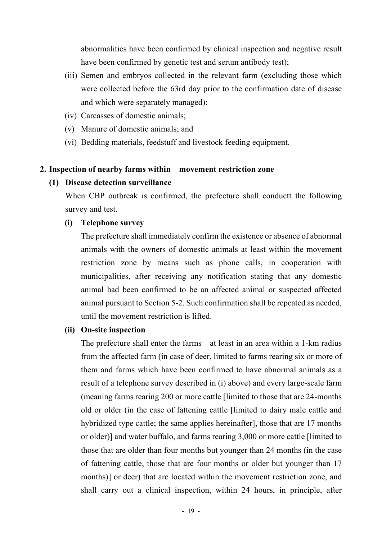abnormalities have been confirmed by clinical inspection and negative result have been confirmed by genetic test and serum antibody test);

- (iii) Semen and embryos collected in the relevant farm (excluding those which were collected before the 63rd day prior to the confirmation date of disease and which were separately managed);
- (iv) Carcasses of domestic animals;
- (v) Manure of domestic animals; and
- (vi) Bedding materials, feedstuff and livestock feeding equipment.

## **2. Inspection of nearby farms within movement restriction zone**

#### **(1) Disease detection surveillance**

When CBP outbreak is confirmed, the prefecture shall conductt the following survey and test.

## **(i) Telephone survey**

The prefecture shall immediately confirm the existence or absence of abnormal animals with the owners of domestic animals at least within the movement restriction zone by means such as phone calls, in cooperation with municipalities, after receiving any notification stating that any domestic animal had been confirmed to be an affected animal or suspected affected animal pursuant to Section 5-2. Such confirmation shall be repeated as needed, until the movement restriction is lifted.

#### **(ii) On-site inspection**

The prefecture shall enter the farms at least in an area within a 1-km radius from the affected farm (in case of deer, limited to farms rearing six or more of them and farms which have been confirmed to have abnormal animals as a result of a telephone survey described in (i) above) and every large-scale farm (meaning farms rearing 200 or more cattle [limited to those that are 24-months old or older (in the case of fattening cattle [limited to dairy male cattle and hybridized type cattle; the same applies hereinafter], those that are 17 months or older)] and water buffalo, and farms rearing 3,000 or more cattle [limited to those that are older than four months but younger than 24 months (in the case of fattening cattle, those that are four months or older but younger than 17 months)] or deer) that are located within the movement restriction zone, and shall carry out a clinical inspection, within 24 hours, in principle, after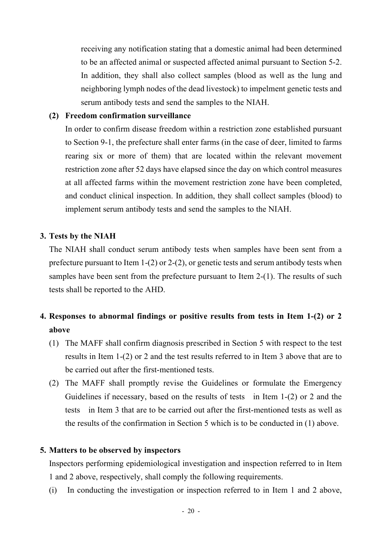receiving any notification stating that a domestic animal had been determined to be an affected animal or suspected affected animal pursuant to Section 5-2. In addition, they shall also collect samples (blood as well as the lung and neighboring lymph nodes of the dead livestock) to impelment genetic tests and serum antibody tests and send the samples to the NIAH.

# **(2) Freedom confirmation surveillance**

In order to confirm disease freedom within a restriction zone established pursuant to Section 9-1, the prefecture shall enter farms (in the case of deer, limited to farms rearing six or more of them) that are located within the relevant movement restriction zone after 52 days have elapsed since the day on which control measures at all affected farms within the movement restriction zone have been completed, and conduct clinical inspection. In addition, they shall collect samples (blood) to implement serum antibody tests and send the samples to the NIAH.

# **3. Tests by the NIAH**

The NIAH shall conduct serum antibody tests when samples have been sent from a prefecture pursuant to Item 1-(2) or 2-(2), or genetic tests and serum antibody tests when samples have been sent from the prefecture pursuant to Item 2-(1). The results of such tests shall be reported to the AHD.

# **4. Responses to abnormal findings or positive results from tests in Item 1-(2) or 2 above**

- (1) The MAFF shall confirm diagnosis prescribed in Section 5 with respect to the test results in Item 1-(2) or 2 and the test results referred to in Item 3 above that are to be carried out after the first-mentioned tests.
- (2) The MAFF shall promptly revise the Guidelines or formulate the Emergency Guidelines if necessary, based on the results of tests in Item 1-(2) or 2 and the tests in Item 3 that are to be carried out after the first-mentioned tests as well as the results of the confirmation in Section 5 which is to be conducted in (1) above.

# **5. Matters to be observed by inspectors**

Inspectors performing epidemiological investigation and inspection referred to in Item 1 and 2 above, respectively, shall comply the following requirements.

(i) In conducting the investigation or inspection referred to in Item 1 and 2 above,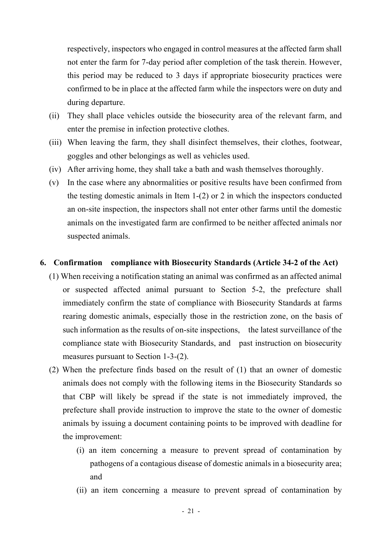respectively, inspectors who engaged in control measures at the affected farm shall not enter the farm for 7-day period after completion of the task therein. However, this period may be reduced to 3 days if appropriate biosecurity practices were confirmed to be in place at the affected farm while the inspectors were on duty and during departure.

- (ii) They shall place vehicles outside the biosecurity area of the relevant farm, and enter the premise in infection protective clothes.
- (iii) When leaving the farm, they shall disinfect themselves, their clothes, footwear, goggles and other belongings as well as vehicles used.
- (iv) After arriving home, they shall take a bath and wash themselves thoroughly.
- (v) In the case where any abnormalities or positive results have been confirmed from the testing domestic animals in Item 1-(2) or 2 in which the inspectors conducted an on-site inspection, the inspectors shall not enter other farms until the domestic animals on the investigated farm are confirmed to be neither affected animals nor suspected animals.

#### **6. Confirmation compliance with Biosecurity Standards (Article 34-2 of the Act)**

- (1) When receiving a notification stating an animal was confirmed as an affected animal or suspected affected animal pursuant to Section 5-2, the prefecture shall immediately confirm the state of compliance with Biosecurity Standards at farms rearing domestic animals, especially those in the restriction zone, on the basis of such information as the results of on-site inspections, the latest surveillance of the compliance state with Biosecurity Standards, and past instruction on biosecurity measures pursuant to Section 1-3-(2).
- (2) When the prefecture finds based on the result of (1) that an owner of domestic animals does not comply with the following items in the Biosecurity Standards so that CBP will likely be spread if the state is not immediately improved, the prefecture shall provide instruction to improve the state to the owner of domestic animals by issuing a document containing points to be improved with deadline for the improvement:
	- (i) an item concerning a measure to prevent spread of contamination by pathogens of a contagious disease of domestic animals in a biosecurity area; and
	- (ii) an item concerning a measure to prevent spread of contamination by